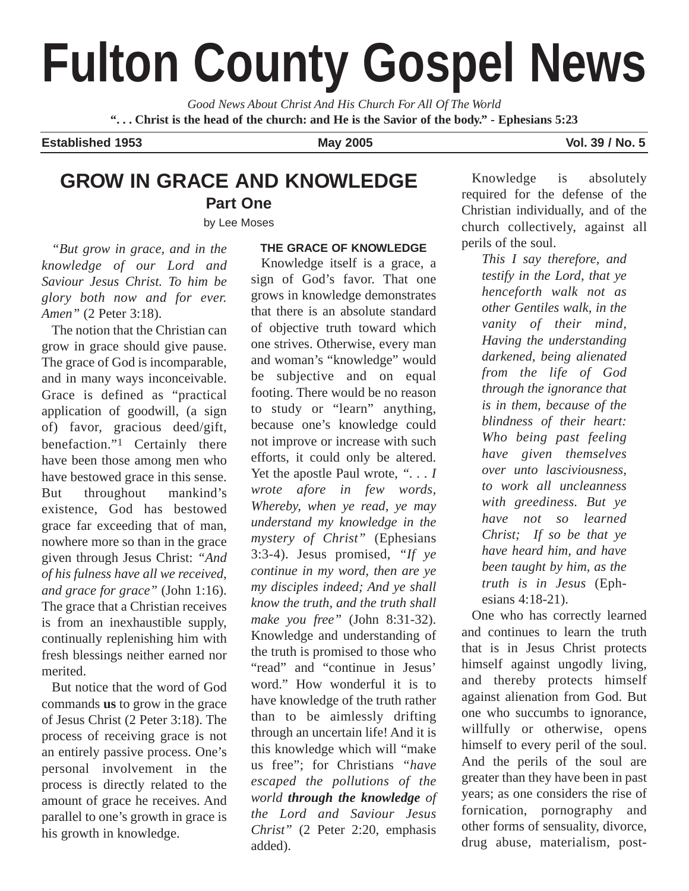# **Fulton County Gospel News**

*Good News About Christ And His Church For All Of The World* **". . . Christ is the head of the church: and He is the Savior of the body." - Ephesians 5:23**

**Established 1953 May 2005 Vol. 39 / No. 5**

## **GROW IN GRACE AND KNOWLEDGE**

**Part One**

by Lee Moses

*"But grow in grace, and in the knowledge of our Lord and Saviour Jesus Christ. To him be glory both now and for ever. Amen"* (2 Peter 3:18).

The notion that the Christian can grow in grace should give pause. The grace of God is incomparable, and in many ways inconceivable. Grace is defined as "practical application of goodwill, (a sign of) favor, gracious deed/gift, benefaction."1 Certainly there have been those among men who have bestowed grace in this sense. But throughout mankind's existence, God has bestowed grace far exceeding that of man, nowhere more so than in the grace given through Jesus Christ: *"And of his fulness have all we received, and grace for grace"* (John 1:16). The grace that a Christian receives is from an inexhaustible supply, continually replenishing him with fresh blessings neither earned nor merited.

But notice that the word of God commands **us** to grow in the grace of Jesus Christ (2 Peter 3:18). The process of receiving grace is not an entirely passive process. One's personal involvement in the process is directly related to the amount of grace he receives. And parallel to one's growth in grace is his growth in knowledge.

#### **THE GRACE OF KNOWLEDGE**

Knowledge itself is a grace, a sign of God's favor. That one grows in knowledge demonstrates that there is an absolute standard of objective truth toward which one strives. Otherwise, every man and woman's "knowledge" would be subjective and on equal footing. There would be no reason to study or "learn" anything, because one's knowledge could not improve or increase with such efforts, it could only be altered. Yet the apostle Paul wrote, *". . . I wrote afore in few words, Whereby, when ye read, ye may understand my knowledge in the mystery of Christ"* (Ephesians 3:3-4). Jesus promised, *"If ye continue in my word, then are ye my disciples indeed; And ye shall know the truth, and the truth shall make you free"* (John 8:31-32). Knowledge and understanding of the truth is promised to those who "read" and "continue in Jesus' word." How wonderful it is to have knowledge of the truth rather than to be aimlessly drifting through an uncertain life! And it is this knowledge which will "make us free"; for Christians *"have escaped the pollutions of the world through the knowledge of the Lord and Saviour Jesus Christ"* (2 Peter 2:20, emphasis added).

Knowledge is absolutely required for the defense of the Christian individually, and of the church collectively, against all perils of the soul.

*This I say therefore, and testify in the Lord, that ye henceforth walk not as other Gentiles walk, in the vanity of their mind, Having the understanding darkened, being alienated from the life of God through the ignorance that is in them, because of the blindness of their heart: Who being past feeling have given themselves over unto lasciviousness, to work all uncleanness with greediness. But ye have not so learned Christ; If so be that ye have heard him, and have been taught by him, as the truth is in Jesus* (Ephesians 4:18-21).

One who has correctly learned and continues to learn the truth that is in Jesus Christ protects himself against ungodly living, and thereby protects himself against alienation from God. But one who succumbs to ignorance, willfully or otherwise, opens himself to every peril of the soul. And the perils of the soul are greater than they have been in past years; as one considers the rise of fornication, pornography and other forms of sensuality, divorce, drug abuse, materialism, post-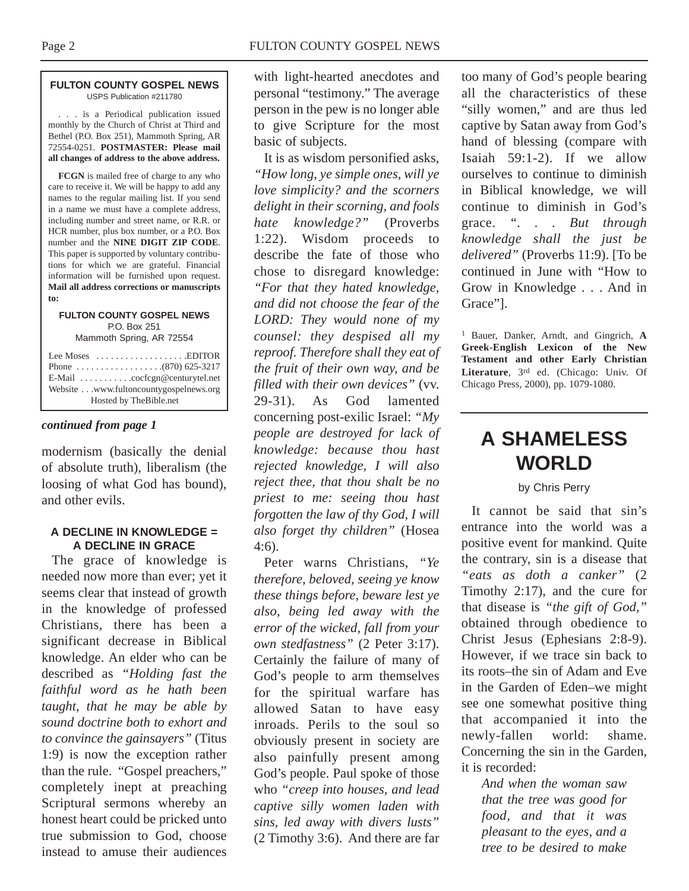#### **FULTON COUNTY GOSPEL NEWS** USPS Publication #211780

. . . is a Periodical publication issued monthly by the Church of Christ at Third and Bethel (P.O. Box 251), Mammoth Spring, AR 72554-0251. **POSTMASTER: Please mail all changes of address to the above address.**

**FCGN** is mailed free of charge to any who care to receive it. We will be happy to add any names to the regular mailing list. If you send in a name we must have a complete address, including number and street name, or R.R. or HCR number, plus box number, or a P.O. Box number and the **NINE DIGIT ZIP CODE**. This paper is supported by voluntary contributions for which we are grateful. Financial information will be furnished upon request. **Mail all address corrections or manuscripts to:**

#### **FULTON COUNTY GOSPEL NEWS** P.O. Box 251

Mammoth Spring, AR 72554

| Lee Moses $\dots \dots \dots \dots \dots$ . EDITOR        |
|-----------------------------------------------------------|
|                                                           |
| $E$ -Mail $\ldots \ldots \ldots$ . cocfcgn@centurytel.net |
| Website www.fultoncountygospelnews.org                    |
| Hosted by TheBible.net                                    |

#### *continued from page 1*

modernism (basically the denial of absolute truth), liberalism (the loosing of what God has bound), and other evils.

#### **A DECLINE IN KNOWLEDGE = A DECLINE IN GRACE**

The grace of knowledge is needed now more than ever; yet it seems clear that instead of growth in the knowledge of professed Christians, there has been a significant decrease in Biblical knowledge. An elder who can be described as *"Holding fast the faithful word as he hath been taught, that he may be able by sound doctrine both to exhort and to convince the gainsayers"* (Titus 1:9) is now the exception rather than the rule. "Gospel preachers," completely inept at preaching Scriptural sermons whereby an honest heart could be pricked unto true submission to God, choose instead to amuse their audiences

with light-hearted anecdotes and personal "testimony." The average person in the pew is no longer able to give Scripture for the most basic of subjects.

It is as wisdom personified asks, *"How long, ye simple ones, will ye love simplicity? and the scorners delight in their scorning, and fools hate knowledge?"* (Proverbs 1:22). Wisdom proceeds to describe the fate of those who chose to disregard knowledge: *"For that they hated knowledge, and did not choose the fear of the LORD: They would none of my counsel: they despised all my reproof. Therefore shall they eat of the fruit of their own way, and be filled with their own devices"* (vv. 29-31). As God lamented concerning post-exilic Israel: *"My people are destroyed for lack of knowledge: because thou hast rejected knowledge, I will also reject thee, that thou shalt be no priest to me: seeing thou hast forgotten the law of thy God, I will also forget thy children"* (Hosea 4:6).

Peter warns Christians, *"Ye therefore, beloved, seeing ye know these things before, beware lest ye also, being led away with the error of the wicked, fall from your own stedfastness"* (2 Peter 3:17). Certainly the failure of many of God's people to arm themselves for the spiritual warfare has allowed Satan to have easy inroads. Perils to the soul so obviously present in society are also painfully present among God's people. Paul spoke of those who *"creep into houses, and lead captive silly women laden with sins, led away with divers lusts"* (2 Timothy 3:6). And there are far

too many of God's people bearing all the characteristics of these "silly women," and are thus led captive by Satan away from God's hand of blessing (compare with Isaiah 59:1-2). If we allow ourselves to continue to diminish in Biblical knowledge, we will continue to diminish in God's grace. *". . . But through knowledge shall the just be delivered"* (Proverbs 11:9). [To be continued in June with "How to Grow in Knowledge . . . And in Grace"].

1 Bauer, Danker, Arndt, and Gingrich, **A Greek-English Lexicon of the New Testament and other Early Christian Literature**, 3rd ed. (Chicago: Univ. Of Chicago Press, 2000), pp. 1079-1080.

### **A SHAMELESS WORLD**

by Chris Perry

It cannot be said that sin's entrance into the world was a positive event for mankind. Quite the contrary, sin is a disease that *"eats as doth a canker"* (2 Timothy 2:17), and the cure for that disease is *"the gift of God,"* obtained through obedience to Christ Jesus (Ephesians 2:8-9). However, if we trace sin back to its roots–the sin of Adam and Eve in the Garden of Eden–we might see one somewhat positive thing that accompanied it into the newly-fallen world: shame. Concerning the sin in the Garden, it is recorded:

*And when the woman saw that the tree was good for food, and that it was pleasant to the eyes, and a tree to be desired to make*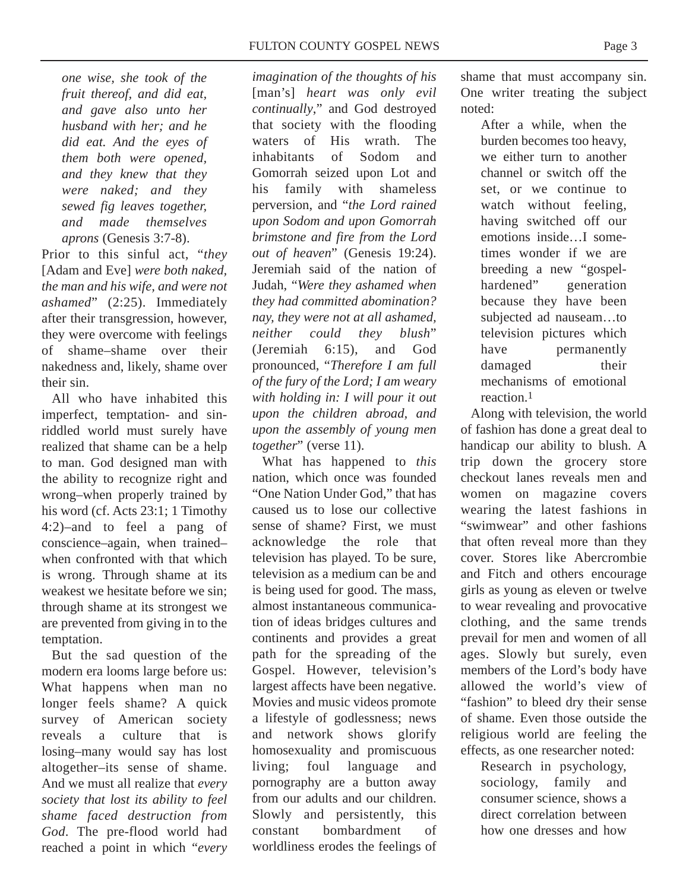*one wise, she took of the fruit thereof, and did eat, and gave also unto her husband with her; and he did eat. And the eyes of them both were opened, and they knew that they were naked; and they sewed fig leaves together, and made themselves aprons* (Genesis 3:7-8).

Prior to this sinful act, "*they* [Adam and Eve] *were both naked, the man and his wife, and were not ashamed*" (2:25). Immediately after their transgression, however, they were overcome with feelings of shame–shame over their nakedness and, likely, shame over their sin.

All who have inhabited this imperfect, temptation- and sinriddled world must surely have realized that shame can be a help to man. God designed man with the ability to recognize right and wrong–when properly trained by his word (cf. Acts 23:1; 1 Timothy 4:2)–and to feel a pang of conscience–again, when trained– when confronted with that which is wrong. Through shame at its weakest we hesitate before we sin; through shame at its strongest we are prevented from giving in to the temptation.

But the sad question of the modern era looms large before us: What happens when man no longer feels shame? A quick survey of American society reveals a culture that is losing–many would say has lost altogether–its sense of shame. And we must all realize that *every society that lost its ability to feel shame faced destruction from God*. The pre-flood world had reached a point in which "*every* *imagination of the thoughts of his* [man's] *heart was only evil continually*," and God destroyed that society with the flooding waters of His wrath. The inhabitants of Sodom and Gomorrah seized upon Lot and his family with shameless perversion, and "*the Lord rained upon Sodom and upon Gomorrah brimstone and fire from the Lord out of heaven*" (Genesis 19:24). Jeremiah said of the nation of Judah, "*Were they ashamed when they had committed abomination? nay, they were not at all ashamed, neither could they blush*" (Jeremiah 6:15), and God pronounced, "*Therefore I am full of the fury of the Lord; I am weary with holding in: I will pour it out upon the children abroad, and upon the assembly of young men together*" (verse 11).

What has happened to *this* nation, which once was founded "One Nation Under God," that has caused us to lose our collective sense of shame? First, we must acknowledge the role that television has played. To be sure, television as a medium can be and is being used for good. The mass, almost instantaneous communication of ideas bridges cultures and continents and provides a great path for the spreading of the Gospel. However, television's largest affects have been negative. Movies and music videos promote a lifestyle of godlessness; news and network shows glorify homosexuality and promiscuous living; foul language and pornography are a button away from our adults and our children. Slowly and persistently, this constant bombardment of worldliness erodes the feelings of

shame that must accompany sin. One writer treating the subject noted:

After a while, when the burden becomes too heavy, we either turn to another channel or switch off the set, or we continue to watch without feeling, having switched off our emotions inside…I sometimes wonder if we are breeding a new "gospelhardened" generation because they have been subjected ad nauseam…to television pictures which have permanently damaged their mechanisms of emotional reaction.1

Along with television, the world of fashion has done a great deal to handicap our ability to blush. A trip down the grocery store checkout lanes reveals men and women on magazine covers wearing the latest fashions in "swimwear" and other fashions that often reveal more than they cover. Stores like Abercrombie and Fitch and others encourage girls as young as eleven or twelve to wear revealing and provocative clothing, and the same trends prevail for men and women of all ages. Slowly but surely, even members of the Lord's body have allowed the world's view of "fashion" to bleed dry their sense of shame. Even those outside the religious world are feeling the effects, as one researcher noted:

Research in psychology, sociology, family and consumer science, shows a direct correlation between how one dresses and how